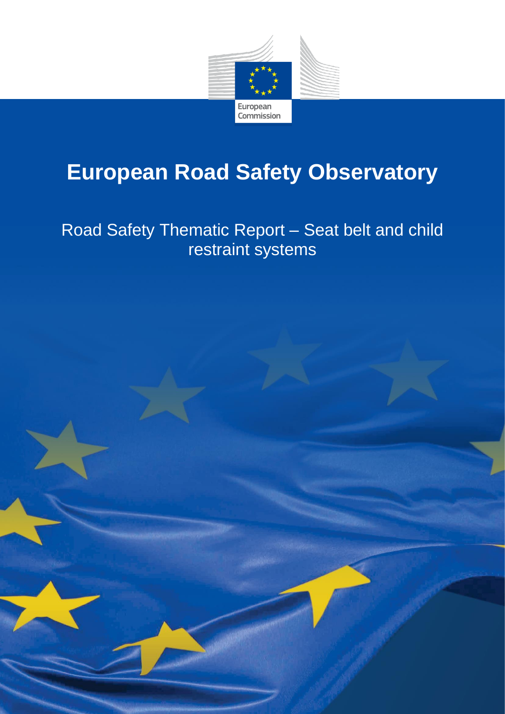

# **European Road Safety Observatory**

Road Safety Thematic Report – Seat belt and child restraint systems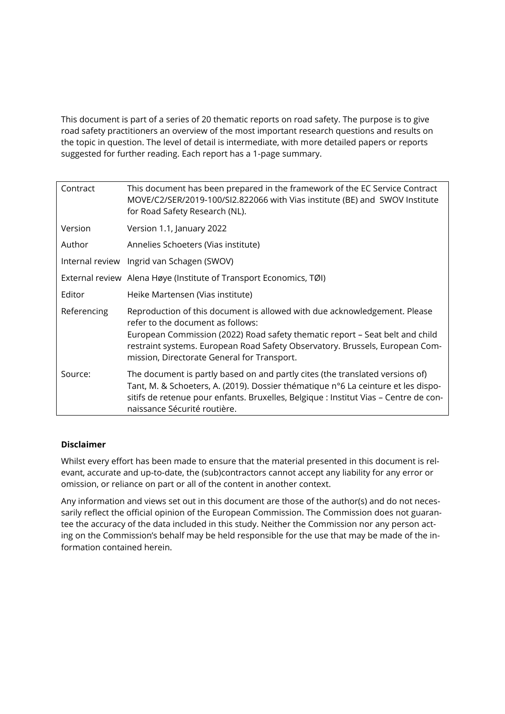This document is part of a series of 20 thematic reports on road safety. The purpose is to give road safety practitioners an overview of the most important research questions and results on the topic in question. The level of detail is intermediate, with more detailed papers or reports suggested for further reading. Each report has a 1-page summary.

| Contract    | This document has been prepared in the framework of the EC Service Contract<br>MOVE/C2/SER/2019-100/SI2.822066 with Vias institute (BE) and SWOV Institute<br>for Road Safety Research (NL).                                                                                                                                  |
|-------------|-------------------------------------------------------------------------------------------------------------------------------------------------------------------------------------------------------------------------------------------------------------------------------------------------------------------------------|
| Version     | Version 1.1, January 2022                                                                                                                                                                                                                                                                                                     |
| Author      | Annelies Schoeters (Vias institute)                                                                                                                                                                                                                                                                                           |
|             | Internal review Ingrid van Schagen (SWOV)                                                                                                                                                                                                                                                                                     |
|             | External review Alena Høye (Institute of Transport Economics, TØI)                                                                                                                                                                                                                                                            |
| Editor      | Heike Martensen (Vias institute)                                                                                                                                                                                                                                                                                              |
| Referencing | Reproduction of this document is allowed with due acknowledgement. Please<br>refer to the document as follows:<br>European Commission (2022) Road safety thematic report - Seat belt and child<br>restraint systems. European Road Safety Observatory. Brussels, European Com-<br>mission, Directorate General for Transport. |
| Source:     | The document is partly based on and partly cites (the translated versions of)<br>Tant, M. & Schoeters, A. (2019). Dossier thématique n°6 La ceinture et les dispo-<br>sitifs de retenue pour enfants. Bruxelles, Belgique : Institut Vias - Centre de con-<br>naissance Sécurité routière.                                    |

#### **Disclaimer**

Whilst every effort has been made to ensure that the material presented in this document is relevant, accurate and up-to-date, the (sub)contractors cannot accept any liability for any error or omission, or reliance on part or all of the content in another context.

Any information and views set out in this document are those of the author(s) and do not necessarily reflect the official opinion of the European Commission. The Commission does not guarantee the accuracy of the data included in this study. Neither the Commission nor any person acting on the Commission's behalf may be held responsible for the use that may be made of the information contained herein.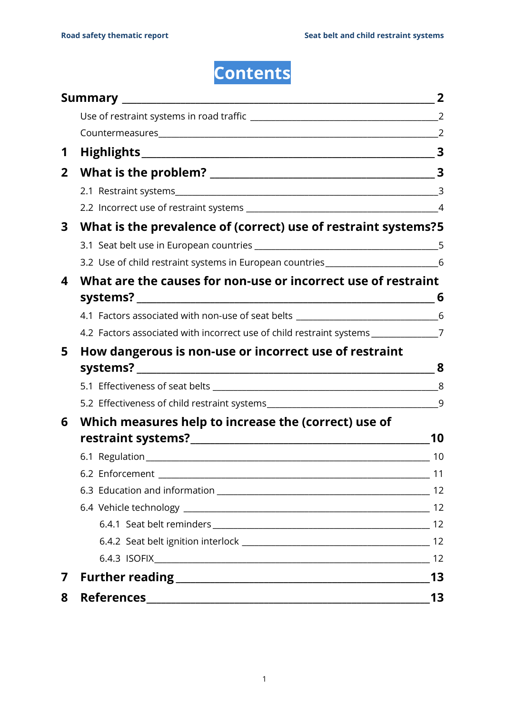# **Contents**

|                |                                                                                     | $\overline{2}$          |  |  |  |
|----------------|-------------------------------------------------------------------------------------|-------------------------|--|--|--|
| 1              |                                                                                     | $\mathbf{3}$            |  |  |  |
| 2 <sup>1</sup> |                                                                                     | $\overline{\mathbf{3}}$ |  |  |  |
|                |                                                                                     | $\overline{3}$          |  |  |  |
|                |                                                                                     |                         |  |  |  |
| 3              | What is the prevalence of (correct) use of restraint systems?5                      |                         |  |  |  |
|                |                                                                                     |                         |  |  |  |
|                | 3.2 Use of child restraint systems in European countries _______________________6   |                         |  |  |  |
| 4              | What are the causes for non-use or incorrect use of restraint                       |                         |  |  |  |
|                |                                                                                     | 6                       |  |  |  |
|                | 4.1 Factors associated with non-use of seat belts _______________________________6  |                         |  |  |  |
|                | 4.2 Factors associated with incorrect use of child restraint systems _____________7 |                         |  |  |  |
| 5.             | How dangerous is non-use or incorrect use of restraint                              |                         |  |  |  |
|                |                                                                                     | 8                       |  |  |  |
|                |                                                                                     |                         |  |  |  |
|                |                                                                                     |                         |  |  |  |
| 6              | Which measures help to increase the (correct) use of                                |                         |  |  |  |
|                |                                                                                     | 10                      |  |  |  |
|                |                                                                                     | 10                      |  |  |  |
|                | 6.2 Enforcement                                                                     |                         |  |  |  |
|                |                                                                                     | 12                      |  |  |  |
|                |                                                                                     |                         |  |  |  |
|                |                                                                                     |                         |  |  |  |
|                |                                                                                     |                         |  |  |  |
|                |                                                                                     |                         |  |  |  |
| 7              |                                                                                     | 13                      |  |  |  |
| 8              | <b>References</b>                                                                   | 13                      |  |  |  |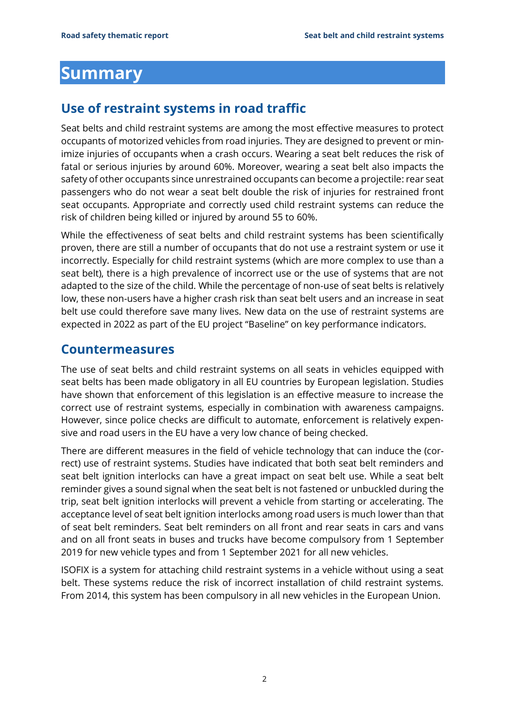### <span id="page-3-0"></span>**Summary**

#### <span id="page-3-1"></span>**Use of restraint systems in road traffic**

Seat belts and child restraint systems are among the most effective measures to protect occupants of motorized vehicles from road injuries. They are designed to prevent or minimize injuries of occupants when a crash occurs. Wearing a seat belt reduces the risk of fatal or serious injuries by around 60%. Moreover, wearing a seat belt also impacts the safety of other occupants since unrestrained occupants can become a projectile: rear seat passengers who do not wear a seat belt double the risk of injuries for restrained front seat occupants. Appropriate and correctly used child restraint systems can reduce the risk of children being killed or injured by around 55 to 60%.

While the effectiveness of seat belts and child restraint systems has been scientifically proven, there are still a number of occupants that do not use a restraint system or use it incorrectly. Especially for child restraint systems (which are more complex to use than a seat belt), there is a high prevalence of incorrect use or the use of systems that are not adapted to the size of the child. While the percentage of non-use of seat belts is relatively low, these non-users have a higher crash risk than seat belt users and an increase in seat belt use could therefore save many lives. New data on the use of restraint systems are expected in 2022 as part of the EU project "Baseline" on key performance indicators.

#### <span id="page-3-2"></span>**Countermeasures**

The use of seat belts and child restraint systems on all seats in vehicles equipped with seat belts has been made obligatory in all EU countries by European legislation. Studies have shown that enforcement of this legislation is an effective measure to increase the correct use of restraint systems, especially in combination with awareness campaigns. However, since police checks are difficult to automate, enforcement is relatively expensive and road users in the EU have a very low chance of being checked.

There are different measures in the field of vehicle technology that can induce the (correct) use of restraint systems. Studies have indicated that both seat belt reminders and seat belt ignition interlocks can have a great impact on seat belt use. While a seat belt reminder gives a sound signal when the seat belt is not fastened or unbuckled during the trip, seat belt ignition interlocks will prevent a vehicle from starting or accelerating. The acceptance level of seat belt ignition interlocks among road users is much lower than that of seat belt reminders. Seat belt reminders on all front and rear seats in cars and vans and on all front seats in buses and trucks have become compulsory from 1 September 2019 for new vehicle types and from 1 September 2021 for all new vehicles.

ISOFIX is a system for attaching child restraint systems in a vehicle without using a seat belt. These systems reduce the risk of incorrect installation of child restraint systems. From 2014, this system has been compulsory in all new vehicles in the European Union.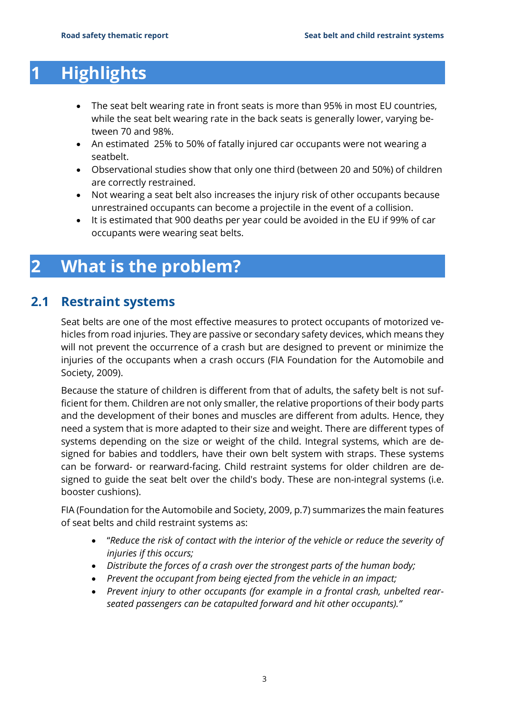## <span id="page-4-0"></span>**1 Highlights**

- The seat belt wearing rate in front seats is more than 95% in most EU countries, while the seat belt wearing rate in the back seats is generally lower, varying between 70 and 98%.
- An estimated 25% to 50% of fatally injured car occupants were not wearing a seatbelt.
- Observational studies show that only one third (between 20 and 50%) of children are correctly restrained.
- Not wearing a seat belt also increases the injury risk of other occupants because unrestrained occupants can become a projectile in the event of a collision.
- It is estimated that 900 deaths per year could be avoided in the EU if 99% of car occupants were wearing seat belts.

### <span id="page-4-1"></span>**2 What is the problem?**

#### **2.1 Restraint systems**

<span id="page-4-2"></span>Seat belts are one of the most effective measures to protect occupants of motorized vehicles from road injuries. They are passive or secondary safety devices, which means they will not prevent the occurrence of a crash but are designed to prevent or minimize the injuries of the occupants when a crash occurs (FIA Foundation for the Automobile and Society, 2009).

Because the stature of children is different from that of adults, the safety belt is not sufficient for them. Children are not only smaller, the relative proportions of their body parts and the development of their bones and muscles are different from adults. Hence, they need a system that is more adapted to their size and weight. There are different types of systems depending on the size or weight of the child. Integral systems, which are designed for babies and toddlers, have their own belt system with straps. These systems can be forward- or rearward-facing. Child restraint systems for older children are designed to guide the seat belt over the child's body. These are non-integral systems (i.e. booster cushions).

FIA (Foundation for the Automobile and Society, 2009, p.7) summarizes the main features of seat belts and child restraint systems as:

- "*Reduce the risk of contact with the interior of the vehicle or reduce the severity of injuries if this occurs;*
- *Distribute the forces of a crash over the strongest parts of the human body;*
- *Prevent the occupant from being ejected from the vehicle in an impact;*
- *Prevent injury to other occupants (for example in a frontal crash, unbelted rearseated passengers can be catapulted forward and hit other occupants)."*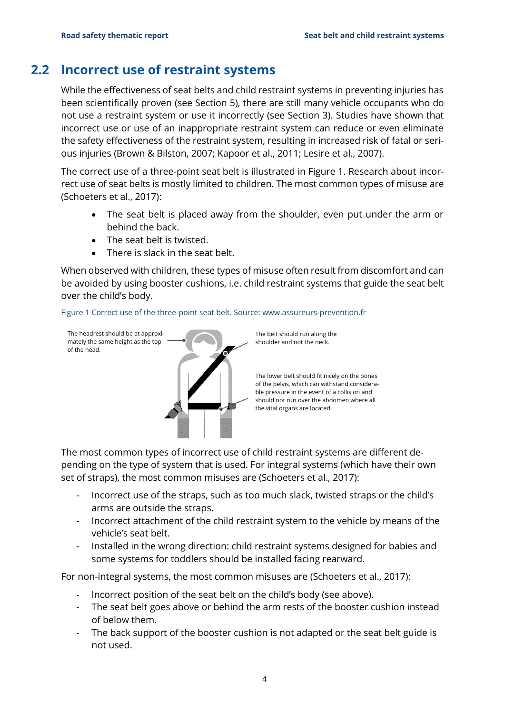#### **2.2 Incorrect use of restraint systems**

<span id="page-5-0"></span>While the effectiveness of seat belts and child restraint systems in preventing injuries has been scientifically proven (see Section [5\)](#page-9-0), there are still many vehicle occupants who do not use a restraint system or use it incorrectly (see Section [3\)](#page-6-0). Studies have shown that incorrect use or use of an inappropriate restraint system can reduce or even eliminate the safety effectiveness of the restraint system, resulting in increased risk of fatal or serious injuries (Brown & Bilston, 2007; Kapoor et al., 2011; Lesire et al., 2007).

The correct use of a three-point seat belt is illustrated in [Figure 1.](#page-5-1) Research about incorrect use of seat belts is mostly limited to children. The most common types of misuse are (Schoeters et al., 2017):

- The seat belt is placed away from the shoulder, even put under the arm or behind the back.
- The seat belt is twisted.
- There is slack in the seat belt.

When observed with children, these types of misuse often result from discomfort and can be avoided by using booster cushions, i.e. child restraint systems that guide the seat belt over the child's body.

<span id="page-5-1"></span>



The belt should run along the shoulder and not the neck.

The lower belt should fit nicely on the bones of the pelvis, which can withstand considerable pressure in the event of a collision and should not run over the abdomen where all the vital organs are located.

The most common types of incorrect use of child restraint systems are different depending on the type of system that is used. For integral systems (which have their own set of straps), the most common misuses are (Schoeters et al., 2017):

- Incorrect use of the straps, such as too much slack, twisted straps or the child's arms are outside the straps.
- Incorrect attachment of the child restraint system to the vehicle by means of the vehicle's seat belt.
- Installed in the wrong direction: child restraint systems designed for babies and some systems for toddlers should be installed facing rearward.

For non-integral systems, the most common misuses are (Schoeters et al., 2017):

- Incorrect position of the seat belt on the child's body (see above).
- The seat belt goes above or behind the arm rests of the booster cushion instead of below them.
- The back support of the booster cushion is not adapted or the seat belt guide is not used.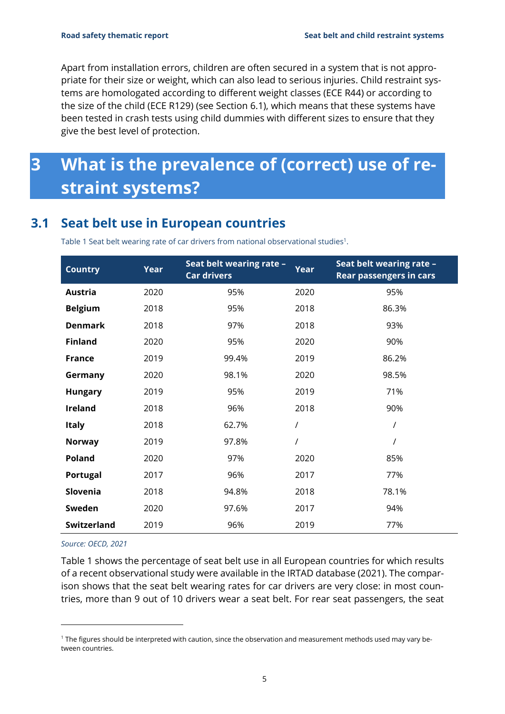Apart from installation errors, children are often secured in a system that is not appropriate for their size or weight, which can also lead to serious injuries. Child restraint systems are homologated according to different weight classes (ECE R44) or according to the size of the child (ECE R129) (see Section [6.1\)](#page-11-1), which means that these systems have been tested in crash tests using child dummies with different sizes to ensure that they give the best level of protection.

## <span id="page-6-0"></span>**3 What is the prevalence of (correct) use of restraint systems?**

### **3.1 Seat belt use in European countries**

<span id="page-6-2"></span><span id="page-6-1"></span>Table 1 Seat belt wearing rate of car drivers from national observational studies<sup>1</sup>.

| <b>Country</b>     | Year | Seat belt wearing rate -<br>Car drivers | <b>Year</b>    | Seat belt wearing rate -<br><b>Rear passengers in cars</b> |
|--------------------|------|-----------------------------------------|----------------|------------------------------------------------------------|
| <b>Austria</b>     | 2020 | 95%                                     | 2020           | 95%                                                        |
| <b>Belgium</b>     | 2018 | 95%                                     | 2018           | 86.3%                                                      |
| <b>Denmark</b>     | 2018 | 97%                                     | 2018           | 93%                                                        |
| <b>Finland</b>     | 2020 | 95%                                     | 2020           | 90%                                                        |
| <b>France</b>      | 2019 | 99.4%                                   | 2019           | 86.2%                                                      |
| Germany            | 2020 | 98.1%                                   | 2020           | 98.5%                                                      |
| <b>Hungary</b>     | 2019 | 95%                                     | 2019           | 71%                                                        |
| <b>Ireland</b>     | 2018 | 96%                                     | 2018           | 90%                                                        |
| <b>Italy</b>       | 2018 | 62.7%                                   | $\prime$       | $\prime$                                                   |
| <b>Norway</b>      | 2019 | 97.8%                                   | $\overline{I}$ | $\sqrt{\phantom{a}}$                                       |
| Poland             | 2020 | 97%                                     | 2020           | 85%                                                        |
| Portugal           | 2017 | 96%                                     | 2017           | 77%                                                        |
| Slovenia           | 2018 | 94.8%                                   | 2018           | 78.1%                                                      |
| Sweden             | 2020 | 97.6%                                   | 2017           | 94%                                                        |
| <b>Switzerland</b> | 2019 | 96%                                     | 2019           | 77%                                                        |

*Source: OECD, 2021*

[Table 1](#page-6-2) shows the percentage of seat belt use in all European countries for which results of a recent observational study were available in the IRTAD database (2021). The comparison shows that the seat belt wearing rates for car drivers are very close: in most countries, more than 9 out of 10 drivers wear a seat belt. For rear seat passengers, the seat

<sup>&</sup>lt;sup>1</sup> The figures should be interpreted with caution, since the observation and measurement methods used may vary between countries.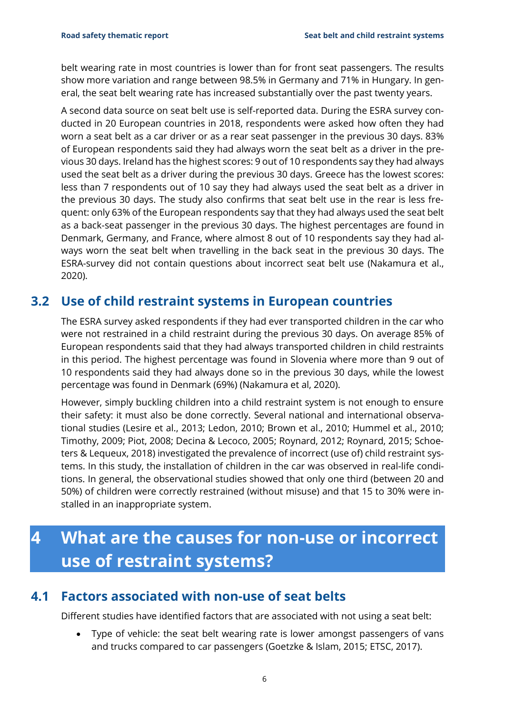belt wearing rate in most countries is lower than for front seat passengers. The results show more variation and range between 98.5% in Germany and 71% in Hungary. In general, the seat belt wearing rate has increased substantially over the past twenty years.

A second data source on seat belt use is self-reported data. During the ESRA survey conducted in 20 European countries in 2018, respondents were asked how often they had worn a seat belt as a car driver or as a rear seat passenger in the previous 30 days. 83% of European respondents said they had always worn the seat belt as a driver in the previous 30 days. Ireland has the highest scores: 9 out of 10 respondents say they had always used the seat belt as a driver during the previous 30 days. Greece has the lowest scores: less than 7 respondents out of 10 say they had always used the seat belt as a driver in the previous 30 days. The study also confirms that seat belt use in the rear is less frequent: only 63% of the European respondents say that they had always used the seat belt as a back-seat passenger in the previous 30 days. The highest percentages are found in Denmark, Germany, and France, where almost 8 out of 10 respondents say they had always worn the seat belt when travelling in the back seat in the previous 30 days. The ESRA-survey did not contain questions about incorrect seat belt use (Nakamura et al., 2020).

#### <span id="page-7-0"></span>**3.2 Use of child restraint systems in European countries**

The ESRA survey asked respondents if they had ever transported children in the car who were not restrained in a child restraint during the previous 30 days. On average 85% of European respondents said that they had always transported children in child restraints in this period. The highest percentage was found in Slovenia where more than 9 out of 10 respondents said they had always done so in the previous 30 days, while the lowest percentage was found in Denmark (69%) (Nakamura et al, 2020).

However, simply buckling children into a child restraint system is not enough to ensure their safety: it must also be done correctly. Several national and international observational studies (Lesire et al., 2013; Ledon, 2010; Brown et al., 2010; Hummel et al., 2010; Timothy, 2009; Piot, 2008; Decina & Lecoco, 2005; Roynard, 2012; Roynard, 2015; Schoeters & Lequeux, 2018) investigated the prevalence of incorrect (use of) child restraint systems. In this study, the installation of children in the car was observed in real-life conditions. In general, the observational studies showed that only one third (between 20 and 50%) of children were correctly restrained (without misuse) and that 15 to 30% were installed in an inappropriate system.

## <span id="page-7-1"></span>**4 What are the causes for non-use or incorrect use of restraint systems?**

#### **4.1 Factors associated with non-use of seat belts**

<span id="page-7-2"></span>Different studies have identified factors that are associated with not using a seat belt:

• Type of vehicle: the seat belt wearing rate is lower amongst passengers of vans and trucks compared to car passengers (Goetzke & Islam, 2015; ETSC, 2017).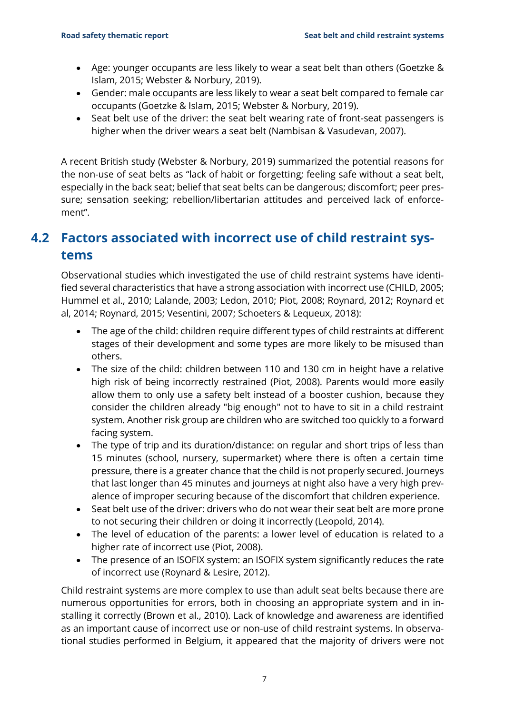- Age: younger occupants are less likely to wear a seat belt than others (Goetzke & Islam, 2015; Webster & Norbury, 2019).
- Gender: male occupants are less likely to wear a seat belt compared to female car occupants (Goetzke & Islam, 2015; Webster & Norbury, 2019).
- Seat belt use of the driver: the seat belt wearing rate of front-seat passengers is higher when the driver wears a seat belt (Nambisan & Vasudevan, 2007).

A recent British study (Webster & Norbury, 2019) summarized the potential reasons for the non-use of seat belts as "lack of habit or forgetting; feeling safe without a seat belt, especially in the back seat; belief that seat belts can be dangerous; discomfort; peer pressure; sensation seeking; rebellion/libertarian attitudes and perceived lack of enforcement".

### <span id="page-8-0"></span>**4.2 Factors associated with incorrect use of child restraint systems**

Observational studies which investigated the use of child restraint systems have identified several characteristics that have a strong association with incorrect use (CHILD, 2005; Hummel et al., 2010; Lalande, 2003; Ledon, 2010; Piot, 2008; Roynard, 2012; Roynard et al, 2014; Roynard, 2015; Vesentini, 2007; Schoeters & Lequeux, 2018):

- The age of the child: children require different types of child restraints at different stages of their development and some types are more likely to be misused than others.
- The size of the child: children between 110 and 130 cm in height have a relative high risk of being incorrectly restrained (Piot, 2008). Parents would more easily allow them to only use a safety belt instead of a booster cushion, because they consider the children already "big enough" not to have to sit in a child restraint system. Another risk group are children who are switched too quickly to a forward facing system.
- The type of trip and its duration/distance: on regular and short trips of less than 15 minutes (school, nursery, supermarket) where there is often a certain time pressure, there is a greater chance that the child is not properly secured. Journeys that last longer than 45 minutes and journeys at night also have a very high prevalence of improper securing because of the discomfort that children experience.
- Seat belt use of the driver: drivers who do not wear their seat belt are more prone to not securing their children or doing it incorrectly (Leopold, 2014).
- The level of education of the parents: a lower level of education is related to a higher rate of incorrect use (Piot, 2008).
- The presence of an ISOFIX system: an ISOFIX system significantly reduces the rate of incorrect use (Roynard & Lesire, 2012).

Child restraint systems are more complex to use than adult seat belts because there are numerous opportunities for errors, both in choosing an appropriate system and in installing it correctly (Brown et al., 2010). Lack of knowledge and awareness are identified as an important cause of incorrect use or non-use of child restraint systems. In observational studies performed in Belgium, it appeared that the majority of drivers were not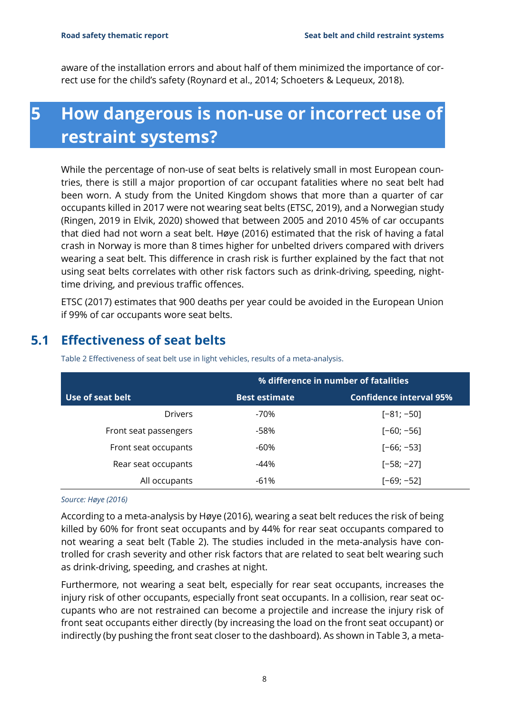<span id="page-9-0"></span>aware of the installation errors and about half of them minimized the importance of correct use for the child's safety (Roynard et al., 2014; Schoeters & Lequeux, 2018).

## **5 How dangerous is non-use or incorrect use of restraint systems?**

While the percentage of non-use of seat belts is relatively small in most European countries, there is still a major proportion of car occupant fatalities where no seat belt had been worn. A study from the United Kingdom shows that more than a quarter of car occupants killed in 2017 were not wearing seat belts (ETSC, 2019), and a Norwegian study (Ringen, 2019 in Elvik, 2020) showed that between 2005 and 2010 45% of car occupants that died had not worn a seat belt. Høye (2016) estimated that the risk of having a fatal crash in Norway is more than 8 times higher for unbelted drivers compared with drivers wearing a seat belt. This difference in crash risk is further explained by the fact that not using seat belts correlates with other risk factors such as drink-driving, speeding, nighttime driving, and previous traffic offences.

ETSC (2017) estimates that 900 deaths per year could be avoided in the European Union if 99% of car occupants wore seat belts.

|                       | % difference in number of fatalities |                                |  |
|-----------------------|--------------------------------------|--------------------------------|--|
| Use of seat belt      | <b>Best estimate</b>                 | <b>Confidence interval 95%</b> |  |
| <b>Drivers</b>        | -70%                                 | $[-81; -50]$                   |  |
| Front seat passengers | -58%                                 | $[-60; -56]$                   |  |
| Front seat occupants  | -60%                                 | $[-66; -53]$                   |  |
| Rear seat occupants   | $-44%$                               | $[-58; -27]$                   |  |
| All occupants         | -61%                                 | $[-69; -52]$                   |  |

#### <span id="page-9-1"></span>**5.1 Effectiveness of seat belts**

<span id="page-9-2"></span>Table 2 Effectiveness of seat belt use in light vehicles, results of a meta-analysis.

#### *Source: Høye (2016)*

According to a meta-analysis by Høye (2016), wearing a seat belt reduces the risk of being killed by 60% for front seat occupants and by 44% for rear seat occupants compared to not wearing a seat belt [\(Table 2\)](#page-9-2). The studies included in the meta-analysis have controlled for crash severity and other risk factors that are related to seat belt wearing such as drink-driving, speeding, and crashes at night.

Furthermore, not wearing a seat belt, especially for rear seat occupants, increases the injury risk of other occupants, especially front seat occupants. In a collision, rear seat occupants who are not restrained can become a projectile and increase the injury risk of front seat occupants either directly (by increasing the load on the front seat occupant) or indirectly (by pushing the front seat closer to the dashboard). As shown in [Table 3,](#page-10-1) a meta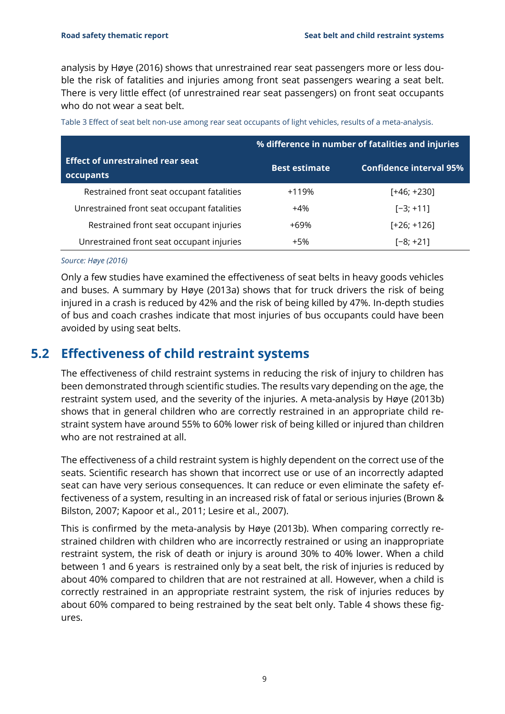analysis by Høye (2016) shows that unrestrained rear seat passengers more or less double the risk of fatalities and injuries among front seat passengers wearing a seat belt. There is very little effect (of unrestrained rear seat passengers) on front seat occupants who do not wear a seat belt.

|                                                      | % difference in number of fatalities and injuries |                                |  |
|------------------------------------------------------|---------------------------------------------------|--------------------------------|--|
| <b>Effect of unrestrained rear seat</b><br>occupants | <b>Best estimate</b>                              | <b>Confidence interval 95%</b> |  |
| Restrained front seat occupant fatalities            | $+119%$                                           | [+46; +230]                    |  |
| Unrestrained front seat occupant fatalities          | $+4\%$                                            | $[-3; +11]$                    |  |
| Restrained front seat occupant injuries              | +69%                                              | $[-26; +126]$                  |  |
| Unrestrained front seat occupant injuries            | $+5%$                                             | $[-8; +21]$                    |  |

<span id="page-10-1"></span>Table 3 Effect of seat belt non-use among rear seat occupants of light vehicles, results of a meta-analysis.

#### *Source: Høye (2016)*

Only a few studies have examined the effectiveness of seat belts in heavy goods vehicles and buses. A summary by Høye (2013a) shows that for truck drivers the risk of being injured in a crash is reduced by 42% and the risk of being killed by 47%. In-depth studies of bus and coach crashes indicate that most injuries of bus occupants could have been avoided by using seat belts.

#### <span id="page-10-0"></span>**5.2 Effectiveness of child restraint systems**

The effectiveness of child restraint systems in reducing the risk of injury to children has been demonstrated through scientific studies. The results vary depending on the age, the restraint system used, and the severity of the injuries. A meta-analysis by Høye (2013b) shows that in general children who are correctly restrained in an appropriate child restraint system have around 55% to 60% lower risk of being killed or injured than children who are not restrained at all.

The effectiveness of a child restraint system is highly dependent on the correct use of the seats. Scientific research has shown that incorrect use or use of an incorrectly adapted seat can have very serious consequences. It can reduce or even eliminate the safety effectiveness of a system, resulting in an increased risk of fatal or serious injuries (Brown & Bilston, 2007; Kapoor et al., 2011; Lesire et al., 2007).

This is confirmed by the meta-analysis by Høye (2013b). When comparing correctly restrained children with children who are incorrectly restrained or using an inappropriate restraint system, the risk of death or injury is around 30% to 40% lower. When a child between 1 and 6 years is restrained only by a seat belt, the risk of injuries is reduced by about 40% compared to children that are not restrained at all. However, when a child is correctly restrained in an appropriate restraint system, the risk of injuries reduces by about 60% compared to being restrained by the seat belt only. [Table 4](#page-11-2) shows these figures.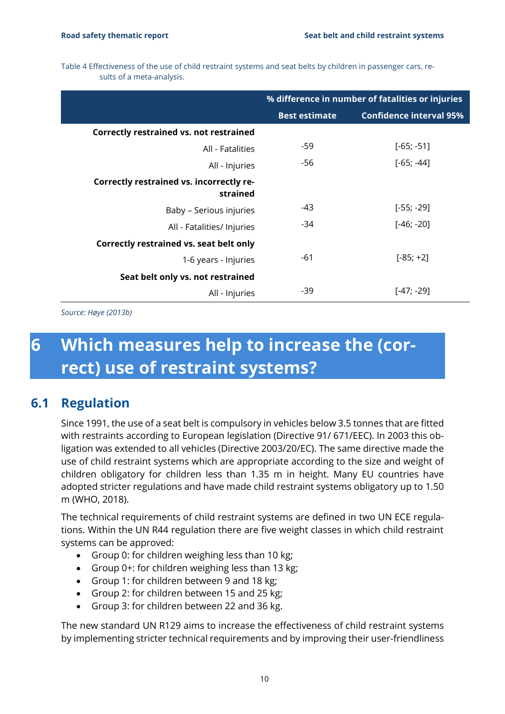<span id="page-11-2"></span>Table 4 Effectiveness of the use of child restraint systems and seat belts by children in passenger cars, results of a meta-analysis.

|                                                      | % difference in number of fatalities or injuries |                                |  |
|------------------------------------------------------|--------------------------------------------------|--------------------------------|--|
|                                                      | <b>Best estimate</b>                             | <b>Confidence interval 95%</b> |  |
| <b>Correctly restrained vs. not restrained</b>       |                                                  |                                |  |
| All - Fatalities                                     | -59                                              | $[-65; -51]$                   |  |
| All - Injuries                                       | -56                                              | $[-65; -44]$                   |  |
| Correctly restrained vs. incorrectly re-<br>strained |                                                  |                                |  |
| Baby - Serious injuries                              | -43                                              | $[-55; -29]$                   |  |
| All - Fatalities/ Injuries                           | -34                                              | $[-46; -20]$                   |  |
| Correctly restrained vs. seat belt only              |                                                  |                                |  |
| 1-6 years - Injuries                                 | -61                                              | $[-85; +2]$                    |  |
| Seat belt only vs. not restrained                    |                                                  |                                |  |
| All - Injuries                                       | -39                                              | [-47; -29]                     |  |

<span id="page-11-0"></span>*Source: Høye (2013b)*

## **6 Which measures help to increase the (correct) use of restraint systems?**

#### **6.1 Regulation**

<span id="page-11-1"></span>Since 1991, the use of a seat belt is compulsory in vehicles below 3.5 tonnes that are fitted with restraints according to European legislation (Directive 91/ 671/EEC). In 2003 this obligation was extended to all vehicles (Directive 2003/20/EC). The same directive made the use of child restraint systems which are appropriate according to the size and weight of children obligatory for children less than 1.35 m in height. Many EU countries have adopted stricter regulations and have made child restraint systems obligatory up to 1.50 m (WHO, 2018).

The technical requirements of child restraint systems are defined in two UN ECE regulations. Within the UN R44 regulation there are five weight classes in which child restraint systems can be approved:

- Group 0: for children weighing less than 10 kg;
- Group 0+: for children weighing less than 13 kg;
- Group 1: for children between 9 and 18 kg;
- Group 2: for children between 15 and 25 kg;
- Group 3: for children between 22 and 36 kg.

The new standard UN R129 aims to increase the effectiveness of child restraint systems by implementing stricter technical requirements and by improving their user-friendliness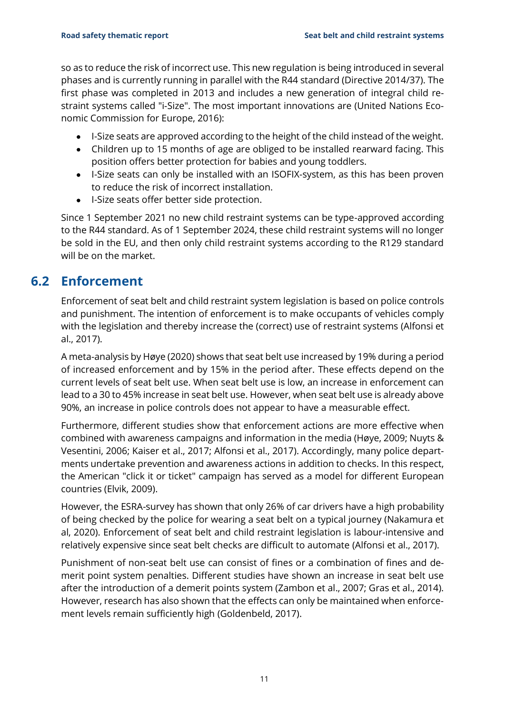so as to reduce the risk of incorrect use. This new regulation is being introduced in several phases and is currently running in parallel with the R44 standard (Directive 2014/37). The first phase was completed in 2013 and includes a new generation of integral child restraint systems called "i-Size". The most important innovations are (United Nations Economic Commission for Europe, 2016):

- I-Size seats are approved according to the height of the child instead of the weight.
- Children up to 15 months of age are obliged to be installed rearward facing. This position offers better protection for babies and young toddlers.
- I-Size seats can only be installed with an ISOFIX-system, as this has been proven to reduce the risk of incorrect installation.
- I-Size seats offer better side protection.

Since 1 September 2021 no new child restraint systems can be type-approved according to the R44 standard. As of 1 September 2024, these child restraint systems will no longer be sold in the EU, and then only child restraint systems according to the R129 standard will be on the market.

#### **6.2 Enforcement**

<span id="page-12-0"></span>Enforcement of seat belt and child restraint system legislation is based on police controls and punishment. The intention of enforcement is to make occupants of vehicles comply with the legislation and thereby increase the (correct) use of restraint systems (Alfonsi et al., 2017).

A meta-analysis by Høye (2020) shows that seat belt use increased by 19% during a period of increased enforcement and by 15% in the period after. These effects depend on the current levels of seat belt use. When seat belt use is low, an increase in enforcement can lead to a 30 to 45% increase in seat belt use. However, when seat belt use is already above 90%, an increase in police controls does not appear to have a measurable effect.

Furthermore, different studies show that enforcement actions are more effective when combined with awareness campaigns and information in the media (Høye, 2009; Nuyts & Vesentini, 2006; Kaiser et al., 2017; Alfonsi et al., 2017). Accordingly, many police departments undertake prevention and awareness actions in addition to checks. In this respect, the American "click it or ticket" campaign has served as a model for different European countries (Elvik, 2009).

However, the ESRA-survey has shown that only 26% of car drivers have a high probability of being checked by the police for wearing a seat belt on a typical journey (Nakamura et al, 2020). Enforcement of seat belt and child restraint legislation is labour-intensive and relatively expensive since seat belt checks are difficult to automate (Alfonsi et al., 2017).

Punishment of non-seat belt use can consist of fines or a combination of fines and demerit point system penalties. Different studies have shown an increase in seat belt use after the introduction of a demerit points system (Zambon et al., 2007; Gras et al., 2014). However, research has also shown that the effects can only be maintained when enforcement levels remain sufficiently high (Goldenbeld, 2017).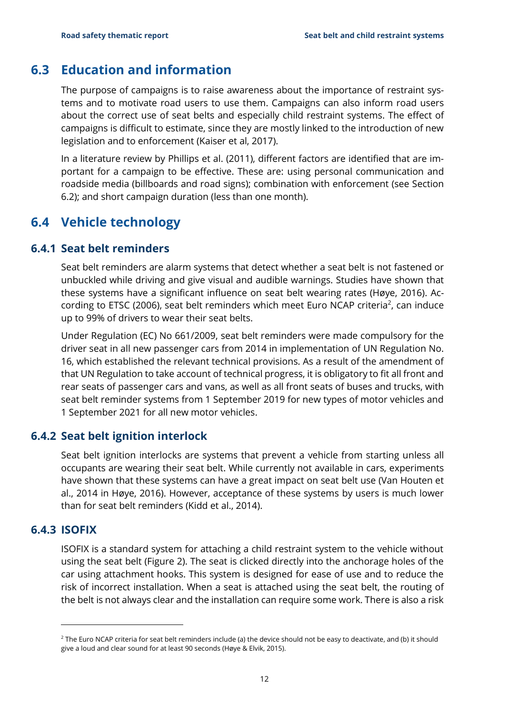#### **6.3 Education and information**

<span id="page-13-0"></span>The purpose of campaigns is to raise awareness about the importance of restraint systems and to motivate road users to use them. Campaigns can also inform road users about the correct use of seat belts and especially child restraint systems. The effect of campaigns is difficult to estimate, since they are mostly linked to the introduction of new legislation and to enforcement (Kaiser et al, 2017).

In a literature review by Phillips et al. (2011), different factors are identified that are important for a campaign to be effective. These are: using personal communication and roadside media (billboards and road signs); combination with enforcement (see Section [6.2\)](#page-12-0); and short campaign duration (less than one month).

### <span id="page-13-1"></span>**6.4 Vehicle technology**

#### **6.4.1 Seat belt reminders**

<span id="page-13-2"></span>Seat belt reminders are alarm systems that detect whether a seat belt is not fastened or unbuckled while driving and give visual and audible warnings. Studies have shown that these systems have a significant influence on seat belt wearing rates (Høye, 2016). According to ETSC (2006), seat belt reminders which meet Euro NCAP criteria<sup>2</sup>, can induce up to 99% of drivers to wear their seat belts.

Under Regulation (EC) No 661/2009, seat belt reminders were made compulsory for the driver seat in all new passenger cars from 2014 in implementation of UN Regulation No. 16, which established the relevant technical provisions. As a result of the amendment of that UN Regulation to take account of technical progress, it is obligatory to fit all front and rear seats of passenger cars and vans, as well as all front seats of buses and trucks, with seat belt reminder systems from 1 September 2019 for new types of motor vehicles and 1 September 2021 for all new motor vehicles.

#### **6.4.2 Seat belt ignition interlock**

<span id="page-13-3"></span>Seat belt ignition interlocks are systems that prevent a vehicle from starting unless all occupants are wearing their seat belt. While currently not available in cars, experiments have shown that these systems can have a great impact on seat belt use (Van Houten et al., 2014 in Høye, 2016). However, acceptance of these systems by users is much lower than for seat belt reminders (Kidd et al., 2014).

#### **6.4.3 ISOFIX**

<span id="page-13-4"></span>ISOFIX is a standard system for attaching a child restraint system to the vehicle without using the seat belt [\(Figure 2\)](#page-14-2). The seat is clicked directly into the anchorage holes of the car using attachment hooks. This system is designed for ease of use and to reduce the risk of incorrect installation. When a seat is attached using the seat belt, the routing of the belt is not always clear and the installation can require some work. There is also a risk

<sup>&</sup>lt;sup>2</sup> The Euro NCAP criteria for seat belt reminders include (a) the device should not be easy to deactivate, and (b) it should give a loud and clear sound for at least 90 seconds (Høye & Elvik, 2015).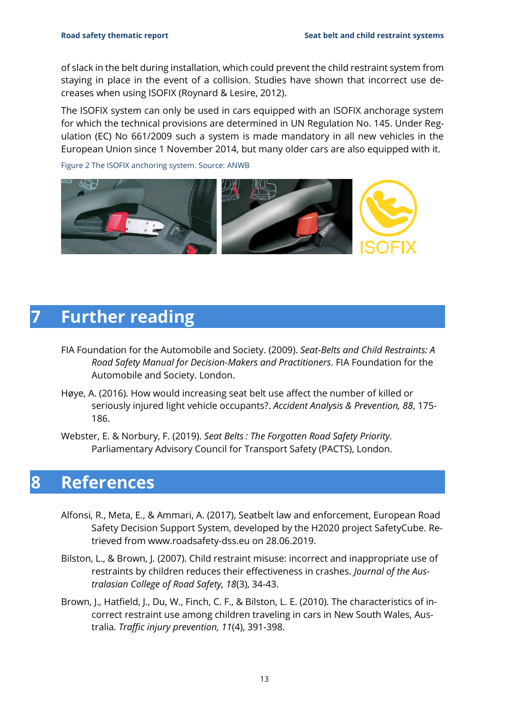of slack in the belt during installation, which could prevent the child restraint system from staying in place in the event of a collision. Studies have shown that incorrect use decreases when using ISOFIX (Roynard & Lesire, 2012).

The ISOFIX system can only be used in cars equipped with an ISOFIX anchorage system for which the technical provisions are determined in UN Regulation No. 145. Under Regulation (EC) No 661/2009 such a system is made mandatory in all new vehicles in the European Union since 1 November 2014, but many older cars are also equipped with it.

<span id="page-14-2"></span>Figure 2 The ISOFIX anchoring system. Source: ANWB



### <span id="page-14-0"></span>**7 Further reading**

- FIA Foundation for the Automobile and Society. (2009). *Seat-Belts and Child Restraints: A Road Safety Manual for Decision-Makers and Practitioners*. FIA Foundation for the Automobile and Society. London.
- Høye, A. (2016). How would increasing seat belt use affect the number of killed or seriously injured light vehicle occupants?. *Accident Analysis & Prevention, 88*, 175- 186.
- <span id="page-14-1"></span>Webster, E. & Norbury, F. (2019). *Seat Belts : The Forgotten Road Safety Priority.* Parliamentary Advisory Council for Transport Safety (PACTS), London.

### **8 References**

- Alfonsi, R., Meta, E., & Ammari, A. (2017), Seatbelt law and enforcement, European Road Safety Decision Support System, developed by the H2020 project SafetyCube. Retrieved from www.roadsafety-dss.eu on 28.06.2019.
- Bilston, L., & Brown, J. (2007). Child restraint misuse: incorrect and inappropriate use of restraints by children reduces their effectiveness in crashes. *Journal of the Australasian College of Road Safety, 18*(3), 34-43.
- Brown, J., Hatfield, J., Du, W., Finch, C. F., & Bilston, L. E. (2010). The characteristics of incorrect restraint use among children traveling in cars in New South Wales, Australia*. Traffic injury prevention, 11*(4), 391-398.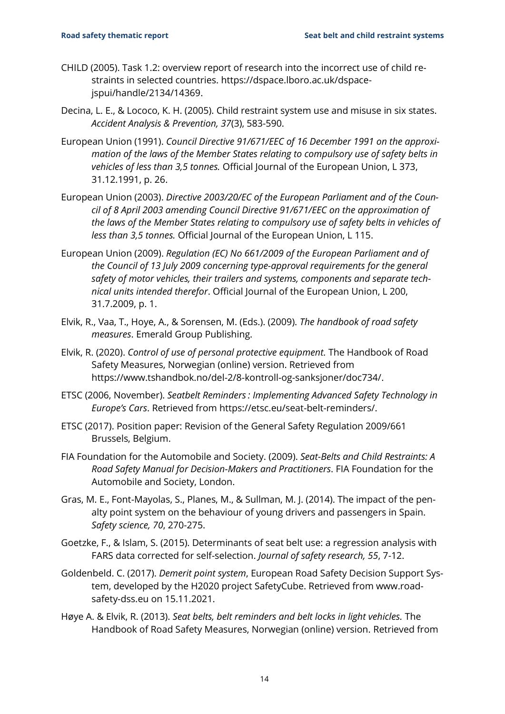- CHILD (2005). Task 1.2: overview report of research into the incorrect use of child restraints in selected countries. [https://dspace.lboro.ac.uk/dspace](https://dspace.lboro.ac.uk/dspace-jspui/handle/2134/14369)[jspui/handle/2134/14369.](https://dspace.lboro.ac.uk/dspace-jspui/handle/2134/14369)
- Decina, L. E., & Lococo, K. H. (2005). Child restraint system use and misuse in six states. *Accident Analysis & Prevention, 37*(3), 583-590.
- European Union (1991). *Council Directive 91/671/EEC of 16 December 1991 on the approximation of the laws of the Member States relating to compulsory use of safety belts in vehicles of less than 3,5 tonnes.* [Official Journal of the European Union, L 373,](https://eur-lex.europa.eu/eli/reg/2019/2144/oj) 31.12.1991, p. 26.
- European Union (2003). *Directive 2003/20/EC of the European Parliament and of the Council of 8 April 2003 amending Council Directive 91/671/EEC on the approximation of the laws of the Member States relating to compulsory use of safety belts in vehicles of less than 3,5 tonnes.* [Official Journal of the European Union, L 115.](https://eur-lex.europa.eu/eli/reg/2019/2144/oj)
- European Union (2009). *Regulation (EC) No 661/2009 of the European Parliament and of the Council of 13 July 2009 concerning type-approval requirements for the general safety of motor vehicles, their trailers and systems, components and separate technical units intended therefor*. [Official Journal of the European Union, L 200,](https://eur-lex.europa.eu/eli/reg/2019/2144/oj)  [31.7.2009, p. 1.](https://eur-lex.europa.eu/eli/reg/2019/2144/oj)
- Elvik, R., Vaa, T., Hoye, A., & Sorensen, M. (Eds.). (2009). *The handbook of road safety measures*. Emerald Group Publishing.
- Elvik, R. (2020). *Control of use of personal protective equipment.* The Handbook of Road Safety Measures, Norwegian (online) version. Retrieved from https://www.tshandbok.no/del-2/8-kontroll-og-sanksjoner/doc734/.
- ETSC (2006, November). *Seatbelt Reminders : Implementing Advanced Safety Technology in Europe's Cars*. Retrieved from [https://etsc.eu/seat-belt-reminders/.](https://etsc.eu/seat-belt-reminders/)
- ETSC (2017). Position paper: Revision of the General Safety Regulation 2009/661 Brussels, Belgium.
- FIA Foundation for the Automobile and Society. (2009). *Seat-Belts and Child Restraints: A Road Safety Manual for Decision-Makers and Practitioners*. FIA Foundation for the Automobile and Society, London.
- Gras, M. E., Font-Mayolas, S., Planes, M., & Sullman, M. J. (2014). The impact of the penalty point system on the behaviour of young drivers and passengers in Spain. *Safety science, 70*, 270-275.
- Goetzke, F., & Islam, S. (2015). Determinants of seat belt use: a regression analysis with FARS data corrected for self-selection. *Journal of safety research, 55*, 7-12.
- Goldenbeld. C. (2017). *Demerit point system*, European Road Safety Decision Support System, developed by the H2020 project SafetyCube. Retrieved from www.roadsafety-dss.eu on 15.11.2021.
- Høye A. & Elvik, R. (2013). *Seat belts, belt reminders and belt locks in light vehicles.* The Handbook of Road Safety Measures, Norwegian (online) version. Retrieved from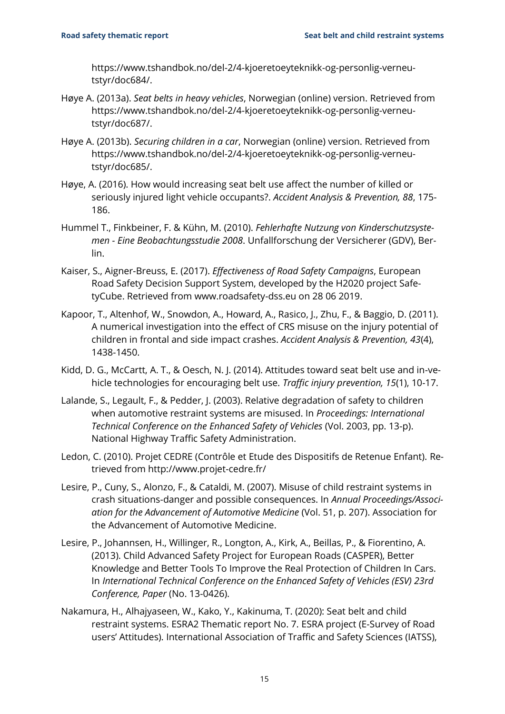https://www.tshandbok.no/del-2/4-kjoeretoeyteknikk-og-personlig-verneutstyr/doc684/.

- Høye A. (2013a). *Seat belts in heavy vehicles*, Norwegian (online) version. Retrieved from [https://www.tshandbok.no/del-2/4-kjoeretoeyteknikk-og-personlig-verneu](https://www.tshandbok.no/del-2/4-kjoeretoeyteknikk-og-personlig-verneutstyr/doc687/)[tstyr/doc687/.](https://www.tshandbok.no/del-2/4-kjoeretoeyteknikk-og-personlig-verneutstyr/doc687/)
- Høye A. (2013b). *Securing children in a car*, Norwegian (online) version. Retrieved from https://www.tshandbok.no/del-2/4-kjoeretoeyteknikk-og-personlig-verneutstyr/doc685/.
- Høye, A. (2016). How would increasing seat belt use affect the number of killed or seriously injured light vehicle occupants?. *Accident Analysis & Prevention, 88*, 175- 186.
- Hummel T., Finkbeiner, F. & Kühn, M. (2010). *Fehlerhafte Nutzung von Kinderschutzsystemen - Eine Beobachtungsstudie 2008*. Unfallforschung der Versicherer (GDV), Berlin.
- Kaiser, S., Aigner-Breuss, E. (2017). *Effectiveness of Road Safety Campaigns*, European Road Safety Decision Support System, developed by the H2020 project SafetyCube. Retrieved from www.roadsafety-dss.eu on 28 06 2019.
- Kapoor, T., Altenhof, W., Snowdon, A., Howard, A., Rasico, J., Zhu, F., & Baggio, D. (2011). A numerical investigation into the effect of CRS misuse on the injury potential of children in frontal and side impact crashes. *Accident Analysis & Prevention, 43*(4), 1438-1450.
- Kidd, D. G., McCartt, A. T., & Oesch, N. J. (2014). Attitudes toward seat belt use and in-vehicle technologies for encouraging belt use. *Traffic injury prevention, 15*(1), 10-17.
- Lalande, S., Legault, F., & Pedder, J. (2003). Relative degradation of safety to children when automotive restraint systems are misused. In *Proceedings: International Technical Conference on the Enhanced Safety of Vehicles* (Vol. 2003, pp. 13-p). National Highway Traffic Safety Administration.
- Ledon, C. (2010). Projet CEDRE (Contrôle et Etude des Dispositifs de Retenue Enfant). Retrieved from<http://www.projet-cedre.fr/>
- Lesire, P., Cuny, S., Alonzo, F., & Cataldi, M. (2007). Misuse of child restraint systems in crash situations-danger and possible consequences. In *Annual Proceedings/Association for the Advancement of Automotive Medicine* (Vol. 51, p. 207). Association for the Advancement of Automotive Medicine.
- Lesire, P., Johannsen, H., Willinger, R., Longton, A., Kirk, A., Beillas, P., & Fiorentino, A. (2013). Child Advanced Safety Project for European Roads (CASPER), Better Knowledge and Better Tools To Improve the Real Protection of Children In Cars. In *International Technical Conference on the Enhanced Safety of Vehicles (ESV) 23rd Conference, Paper* (No. 13-0426).
- Nakamura, H., Alhajyaseen, W., Kako, Y., Kakinuma, T. (2020): Seat belt and child restraint systems. ESRA2 Thematic report No. 7. ESRA project (E-Survey of Road users' Attitudes). International Association of Traffic and Safety Sciences (IATSS),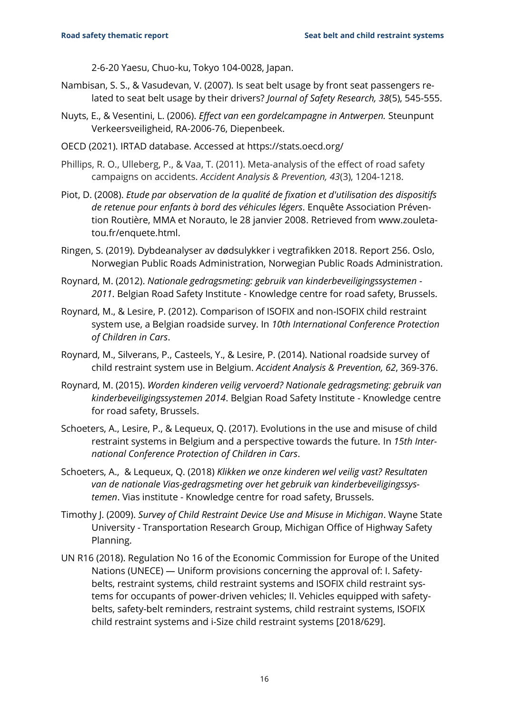2-6-20 Yaesu, Chuo-ku, Tokyo 104-0028, Japan.

- Nambisan, S. S., & Vasudevan, V. (2007). Is seat belt usage by front seat passengers related to seat belt usage by their drivers? *Journal of Safety Research, 38*(5), 545-555.
- Nuyts, E., & Vesentini, L. (2006). *Effect van een gordelcampagne in Antwerpen.* Steunpunt Verkeersveiligheid, RA-2006-76, Diepenbeek.
- OECD (2021). IRTAD database. Accessed at<https://stats.oecd.org/>
- Phillips, R. O., Ulleberg, P., & Vaa, T. (2011). Meta-analysis of the effect of road safety campaigns on accidents. *Accident Analysis & Prevention, 43*(3), 1204-1218.
- Piot, D. (2008). *Etude par observation de la qualité de fixation et d'utilisation des dispositifs de retenue pour enfants à bord des véhicules légers*. Enquête Association Prévention Routière, MMA et Norauto, le 28 janvier 2008. Retrieved from [www.zouleta](http://www.zouletatou.fr/enquete.html)[tou.fr/enquete.html.](http://www.zouletatou.fr/enquete.html)
- Ringen, S. (2019). Dybdeanalyser av dødsulykker i vegtrafikken 2018. Report 256. Oslo, Norwegian Public Roads Administration, Norwegian Public Roads Administration.
- Roynard, M. (2012). *Nationale gedragsmeting: gebruik van kinderbeveiligingssystemen - 2011*. Belgian Road Safety Institute - Knowledge centre for road safety, Brussels.
- Roynard, M., & Lesire, P. (2012). Comparison of ISOFIX and non-ISOFIX child restraint system use, a Belgian roadside survey. In *10th International Conference Protection of Children in Cars*.
- Roynard, M., Silverans, P., Casteels, Y., & Lesire, P. (2014). National roadside survey of child restraint system use in Belgium. *Accident Analysis & Prevention, 62*, 369-376.
- Roynard, M. (2015). *Worden kinderen veilig vervoerd? Nationale gedragsmeting: gebruik van kinderbeveiligingssystemen 2014*. Belgian Road Safety Institute - Knowledge centre for road safety, Brussels.
- Schoeters, A., Lesire, P., & Lequeux, Q. (2017). Evolutions in the use and misuse of child restraint systems in Belgium and a perspective towards the future. In *15th International Conference Protection of Children in Cars*.
- Schoeters, A., & Lequeux, Q. (2018) *Klikken we onze kinderen wel veilig vast? Resultaten van de nationale Vias-gedragsmeting over het gebruik van kinderbeveiligingssystemen*. Vias institute - Knowledge centre for road safety, Brussels.
- Timothy J. (2009). *Survey of Child Restraint Device Use and Misuse in Michigan*. Wayne State University - Transportation Research Group, Michigan Office of Highway Safety Planning.
- UN R16 (2018). Regulation No 16 of the Economic Commission for Europe of the United Nations (UNECE) — Uniform provisions concerning the approval of: I. Safetybelts, restraint systems, child restraint systems and ISOFIX child restraint systems for occupants of power-driven vehicles; II. Vehicles equipped with safetybelts, safety-belt reminders, restraint systems, child restraint systems, ISOFIX child restraint systems and i-Size child restraint systems [2018/629].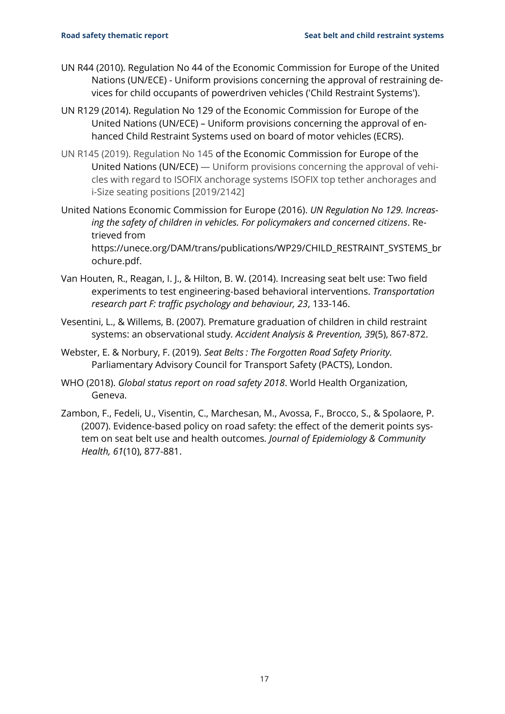- UN R44 (2010). Regulation No 44 of the Economic Commission for Europe of the United Nations (UN/ECE) - Uniform provisions concerning the approval of restraining devices for child occupants of powerdriven vehicles ('Child Restraint Systems').
- UN R129 (2014). Regulation No 129 of the Economic Commission for Europe of the United Nations (UN/ECE) – Uniform provisions concerning the approval of enhanced Child Restraint Systems used on board of motor vehicles (ECRS).
- UN R145 (2019). Regulation No 145 of the Economic Commission for Europe of the United Nations (UN/ECE) — Uniform provisions concerning the approval of vehicles with regard to ISOFIX anchorage systems ISOFIX top tether anchorages and i-Size seating positions [2019/2142]
- United Nations Economic Commission for Europe (2016). *UN Regulation No 129. Increasing the safety of children in vehicles. For policymakers and concerned citizens*. Retrieved from [https://unece.org/DAM/trans/publications/WP29/CHILD\\_RESTRAINT\\_SYSTEMS\\_br](https://unece.org/DAM/trans/publications/WP29/CHILD_RESTRAINT_SYSTEMS_brochure.pdf) [ochure.pdf.](https://unece.org/DAM/trans/publications/WP29/CHILD_RESTRAINT_SYSTEMS_brochure.pdf)
- Van Houten, R., Reagan, I. J., & Hilton, B. W. (2014). Increasing seat belt use: Two field experiments to test engineering-based behavioral interventions. *Transportation research part F: traffic psychology and behaviour, 23*, 133-146.
- Vesentini, L., & Willems, B. (2007). Premature graduation of children in child restraint systems: an observational study*. Accident Analysis & Prevention, 39*(5), 867-872.
- Webster, E. & Norbury, F. (2019). *Seat Belts : The Forgotten Road Safety Priority.* Parliamentary Advisory Council for Transport Safety (PACTS), London.
- WHO (2018). *Global status report on road safety 2018*. World Health Organization, Geneva.
- Zambon, F., Fedeli, U., Visentin, C., Marchesan, M., Avossa, F., Brocco, S., & Spolaore, P. (2007). Evidence-based policy on road safety: the effect of the demerit points system on seat belt use and health outcomes*. Journal of Epidemiology & Community Health, 61*(10), 877-881.